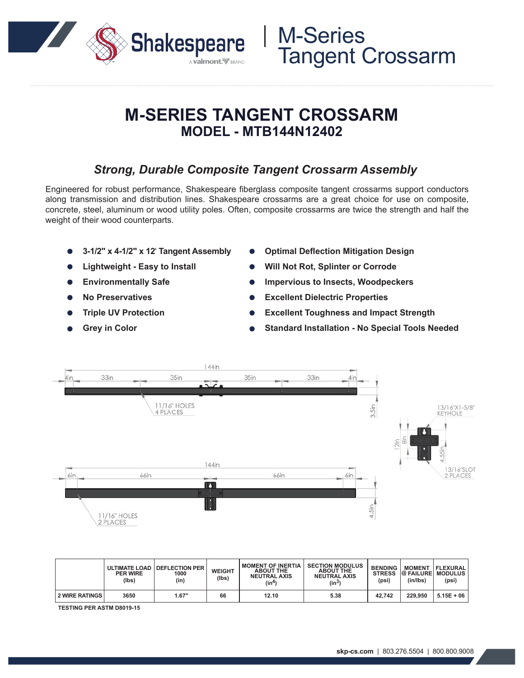

# M-Series Tangent Crossarm

## **M-SERIES TANGENT CROSSARM MODEL - MTB144N12402**

### *Strong, Durable Composite Tangent Crossarm Assembly*

Engineered for robust performance, Shakespeare fiberglass composite tangent crossarms support conductors along transmission and distribution lines. Shakespeare crossarms are a great choice for use on composite, concrete, steel, aluminum or wood utility poles. Often, composite crossarms are twice the strength and half the weight of their wood counterparts.

- **3-1/2" x 4-1/2" x 12**' **Tangent Assembly**
- **Lightweight Easy to Install**
- **Environmentally Safe**
- **No Preservatives**  $\bullet$
- **Triple UV Protection**
- **Grey in Color**
- **Optimal Deflection Mitigation Design**
- **Will Not Rot, Splinter or Corrode**
- **Impervious to Insects, Woodpeckers**
- **Excellent Dielectric Properties**
- **Excellent Toughness and Impact Strength**
- **Standard Installation No Special Tools Needed**



|                  | <b>PER WIRE</b><br>(lbs) | ULTIMATE LOAD DEFLECTION PER<br>1000<br>(in) | <b>WEIGHT</b><br>(Ibs) | <b>MOMENT OF INERTIA</b><br><b>ABOUT THE</b><br><b>NEUTRAL AXIS</b><br>(in4) | <b>SECTION MODULUS</b><br><b>ABOUT THE</b><br><b>NEUTRAL AXIS</b><br>$(in^3)$ | <b>BENDING</b><br><b>STRESS</b><br>(psi) | <b>@ FAILURE MODULUS</b><br>(in/lbs) | <b>MOMENT   FLEXURAL</b><br>(psi) |
|------------------|--------------------------|----------------------------------------------|------------------------|------------------------------------------------------------------------------|-------------------------------------------------------------------------------|------------------------------------------|--------------------------------------|-----------------------------------|
| 2 WIRE RATINGS I | 3650                     | 1.67"                                        | 66                     | 12.10                                                                        | 5.38                                                                          | 42.742                                   | 229.950                              | $5.15E + 06$                      |

**TESTING PER ASTM D8019-15**